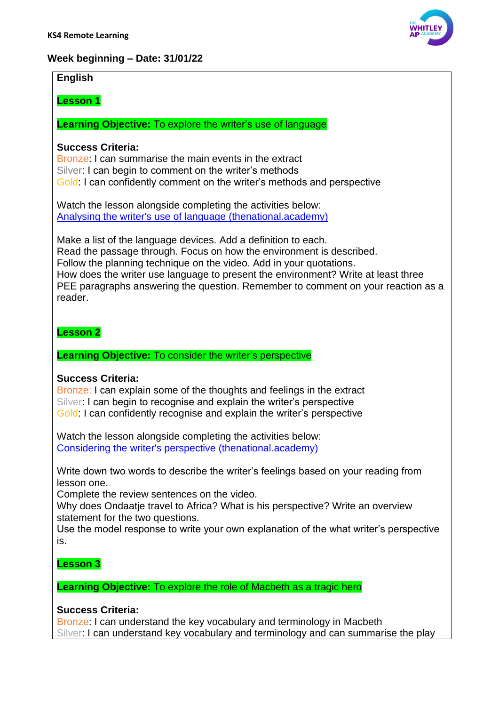## **Week beginning – Date: 31/01/22**

## **English**

## **Lesson 1**

**Learning Objective:** To explore the writer's use of language

## **Success Criteria:**

Bronze: I can summarise the main events in the extract Silver: I can begin to comment on the writer's methods Gold: I can confidently comment on the writer's methods and perspective

Watch the lesson alongside completing the activities below: [Analysing the writer's use of language \(thenational.academy\)](https://classroom.thenational.academy/lessons/analysing-the-writers-use-of-language-65j68t?activity=video&step=2&view=1)

Make a list of the language devices. Add a definition to each. Read the passage through. Focus on how the environment is described. Follow the planning technique on the video. Add in your quotations. How does the writer use language to present the environment? Write at least three PEE paragraphs answering the question. Remember to comment on your reaction as a reader.

## **Lesson 2**

**Learning Objective:** To consider the writer's perspective

## **Success Criteria:**

Bronze: I can explain some of the thoughts and feelings in the extract Silver: I can begin to recognise and explain the writer's perspective Gold: I can confidently recognise and explain the writer's perspective

Watch the lesson alongside completing the activities below: [Considering the writer's perspective \(thenational.academy\)](https://classroom.thenational.academy/lessons/considering-the-writers-perspective-6rt62c?activity=video&step=2&view=1)

Write down two words to describe the writer's feelings based on your reading from lesson one.

Complete the review sentences on the video.

Why does Ondaatje travel to Africa? What is his perspective? Write an overview statement for the two questions.

Use the model response to write your own explanation of the what writer's perspective is.

## **Lesson 3**

**Learning Objective:** To explore the role of Macbeth as a tragic hero

## **Success Criteria:**

Bronze: I can understand the key vocabulary and terminology in Macbeth Silver: I can understand key vocabulary and terminology and can summarise the play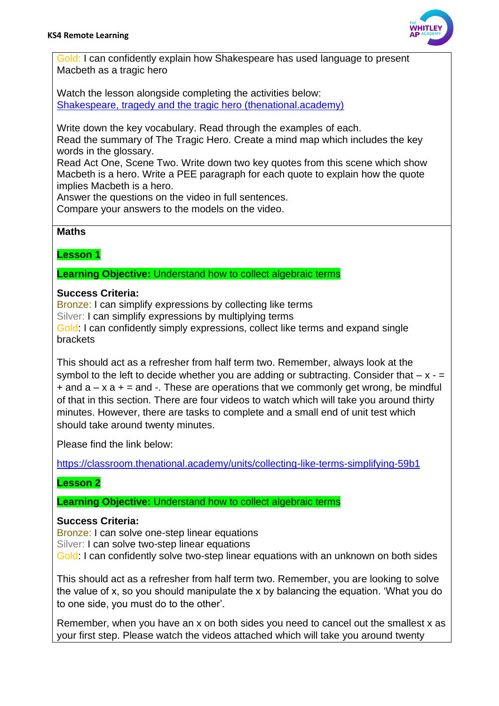

Gold: I can confidently explain how Shakespeare has used language to present Macbeth as a tragic hero

Watch the lesson alongside completing the activities below: [Shakespeare, tragedy and the tragic hero \(thenational.academy\)](https://classroom.thenational.academy/lessons/shakespeare-tragedy-and-the-tragic-hero-74uket?activity=video&step=2&view=1)

Write down the key vocabulary. Read through the examples of each.

Read the summary of The Tragic Hero. Create a mind map which includes the key words in the glossary.

Read Act One, Scene Two. Write down two key quotes from this scene which show Macbeth is a hero. Write a PEE paragraph for each quote to explain how the quote implies Macbeth is a hero.

Answer the questions on the video in full sentences.

Compare your answers to the models on the video.

#### **Maths**

**Lesson 1**

**Learning Objective:** Understand how to collect algebraic terms

#### **Success Criteria:**

Bronze: I can simplify expressions by collecting like terms Silver: I can simplify expressions by multiplying terms Gold: I can confidently simply expressions, collect like terms and expand single brackets

This should act as a refresher from half term two. Remember, always look at the symbol to the left to decide whether you are adding or subtracting. Consider that  $-x +$  and  $a - x a + \frac{1}{2}$  and  $\overline{\phantom{a}}$ . These are operations that we commonly get wrong, be mindful of that in this section. There are four videos to watch which will take you around thirty minutes. However, there are tasks to complete and a small end of unit test which should take around twenty minutes.

Please find the link below:

<https://classroom.thenational.academy/units/collecting-like-terms-simplifying-59b1>

## **Lesson 2**

**Learning Objective:** Understand how to collect algebraic terms

#### **Success Criteria:**

Bronze: I can solve one-step linear equations Silver: I can solve two-step linear equations Gold: I can confidently solve two-step linear equations with an unknown on both sides

This should act as a refresher from half term two. Remember, you are looking to solve the value of x, so you should manipulate the x by balancing the equation. 'What you do to one side, you must do to the other'.

Remember, when you have an x on both sides you need to cancel out the smallest x as your first step. Please watch the videos attached which will take you around twenty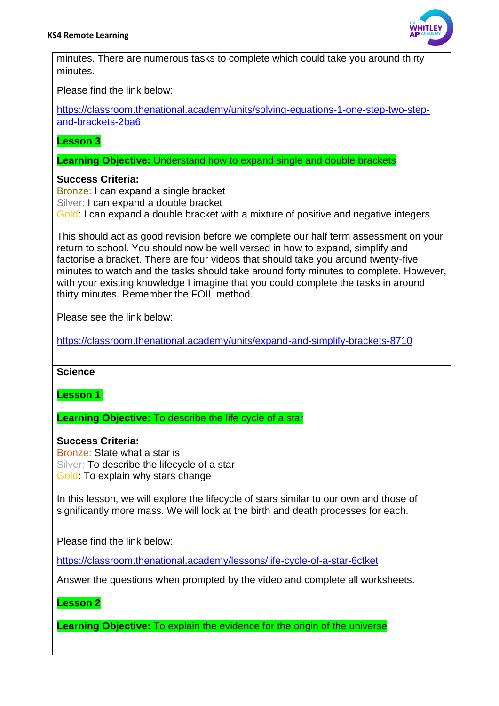

minutes. There are numerous tasks to complete which could take you around thirty minutes.

Please find the link below:

[https://classroom.thenational.academy/units/solving-equations-1-one-step-two-step](https://classroom.thenational.academy/units/solving-equations-1-one-step-two-step-and-brackets-2ba6)[and-brackets-2ba6](https://classroom.thenational.academy/units/solving-equations-1-one-step-two-step-and-brackets-2ba6)

**Lesson 3**

**Learning Objective:** Understand how to expand single and double brackets

#### **Success Criteria:**

Bronze: I can expand a single bracket Silver: I can expand a double bracket Gold: I can expand a double bracket with a mixture of positive and negative integers

This should act as good revision before we complete our half term assessment on your return to school. You should now be well versed in how to expand, simplify and factorise a bracket. There are four videos that should take you around twenty-five minutes to watch and the tasks should take around forty minutes to complete. However, with your existing knowledge I imagine that you could complete the tasks in around thirty minutes. Remember the FOIL method.

Please see the link below:

<https://classroom.thenational.academy/units/expand-and-simplify-brackets-8710>

#### **Science**

**Lesson 1**

**Learning Objective:** To describe the life cycle of a star

#### **Success Criteria:**

Bronze: State what a star is Silver: To describe the lifecycle of a star Gold: To explain why stars change

In this lesson, we will explore the lifecycle of stars similar to our own and those of significantly more mass. We will look at the birth and death processes for each.

Please find the link below:

<https://classroom.thenational.academy/lessons/life-cycle-of-a-star-6ctket>

Answer the questions when prompted by the video and complete all worksheets.

## **Lesson 2**

**Learning Objective:** To explain the evidence for the origin of the universe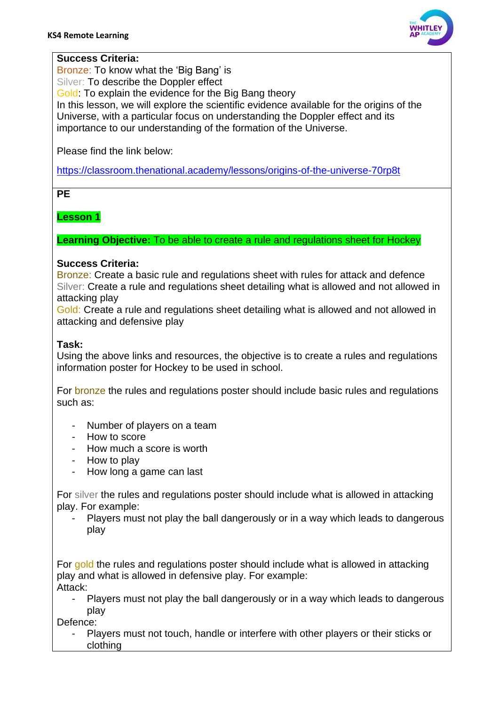

#### **Success Criteria:**

Bronze: To know what the 'Big Bang' is

Silver: To describe the Doppler effect

Gold: To explain the evidence for the Big Bang theory

In this lesson, we will explore the scientific evidence available for the origins of the Universe, with a particular focus on understanding the Doppler effect and its importance to our understanding of the formation of the Universe.

Please find the link below:

<https://classroom.thenational.academy/lessons/origins-of-the-universe-70rp8t>

**PE** 

## **Lesson 1**

**Learning Objective:** To be able to create a rule and regulations sheet for Hockey

## **Success Criteria:**

Bronze: Create a basic rule and regulations sheet with rules for attack and defence Silver: Create a rule and regulations sheet detailing what is allowed and not allowed in attacking play

Gold: Create a rule and regulations sheet detailing what is allowed and not allowed in attacking and defensive play

## **Task:**

Using the above links and resources, the objective is to create a rules and regulations information poster for Hockey to be used in school.

For bronze the rules and regulations poster should include basic rules and regulations such as:

- Number of players on a team
- How to score
- How much a score is worth
- How to play
- How long a game can last

For silver the rules and regulations poster should include what is allowed in attacking play. For example:

Players must not play the ball dangerously or in a way which leads to dangerous play

For gold the rules and regulations poster should include what is allowed in attacking play and what is allowed in defensive play. For example: Attack:

Players must not play the ball dangerously or in a way which leads to dangerous play

Defence:

Players must not touch, handle or interfere with other players or their sticks or clothing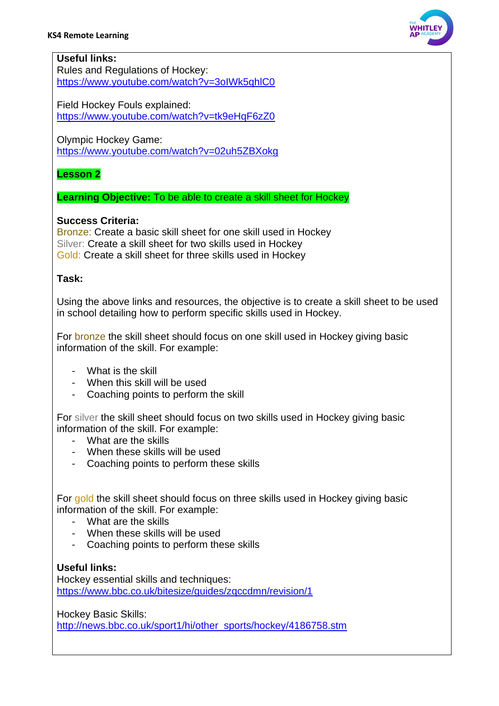

### **Useful links:**

Rules and Regulations of Hockey: <https://www.youtube.com/watch?v=3oIWk5qhlC0>

Field Hockey Fouls explained: <https://www.youtube.com/watch?v=tk9eHqF6zZ0>

Olympic Hockey Game:

<https://www.youtube.com/watch?v=02uh5ZBXokg>

## **Lesson 2**

**Learning Objective:** To be able to create a skill sheet for Hockey

#### **Success Criteria:**

Bronze: Create a basic skill sheet for one skill used in Hockey Silver: Create a skill sheet for two skills used in Hockey Gold: Create a skill sheet for three skills used in Hockey

#### **Task:**

Using the above links and resources, the objective is to create a skill sheet to be used in school detailing how to perform specific skills used in Hockey.

For bronze the skill sheet should focus on one skill used in Hockey giving basic information of the skill. For example:

- What is the skill
- When this skill will be used
- Coaching points to perform the skill

For silver the skill sheet should focus on two skills used in Hockey giving basic information of the skill. For example:

- What are the skills
- When these skills will be used
- Coaching points to perform these skills

For gold the skill sheet should focus on three skills used in Hockey giving basic information of the skill. For example:

- What are the skills
- When these skills will be used
- Coaching points to perform these skills

## **Useful links:**

Hockey essential skills and techniques: <https://www.bbc.co.uk/bitesize/guides/zqccdmn/revision/1>

Hockey Basic Skills:

[http://news.bbc.co.uk/sport1/hi/other\\_sports/hockey/4186758.stm](http://news.bbc.co.uk/sport1/hi/other_sports/hockey/4186758.stm)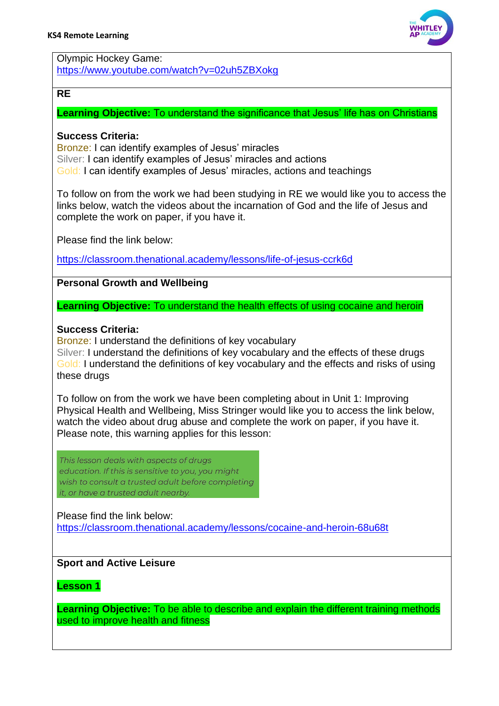

Olympic Hockey Game: <https://www.youtube.com/watch?v=02uh5ZBXokg>

#### **RE**

**Learning Objective:** To understand the significance that Jesus' life has on Christians

#### **Success Criteria:**

Bronze: I can identify examples of Jesus' miracles Silver: I can identify examples of Jesus' miracles and actions Gold: I can identify examples of Jesus' miracles, actions and teachings

To follow on from the work we had been studying in RE we would like you to access the links below, watch the videos about the incarnation of God and the life of Jesus and complete the work on paper, if you have it.

Please find the link below:

<https://classroom.thenational.academy/lessons/life-of-jesus-ccrk6d>

**Personal Growth and Wellbeing**

**Learning Objective:** To understand the health effects of using cocaine and heroin

#### **Success Criteria:**

Bronze: I understand the definitions of key vocabulary

Silver: I understand the definitions of key vocabulary and the effects of these drugs Gold: I understand the definitions of key vocabulary and the effects and risks of using these drugs

To follow on from the work we have been completing about in Unit 1: Improving Physical Health and Wellbeing, Miss Stringer would like you to access the link below, watch the video about drug abuse and complete the work on paper, if you have it. Please note, this warning applies for this lesson:

This lesson deals with aspects of drugs education. If this is sensitive to you, you might wish to consult a trusted adult before completing it or have a trusted adult nearby

Please find the link below:

<https://classroom.thenational.academy/lessons/cocaine-and-heroin-68u68t>

## **Sport and Active Leisure**

**Lesson 1**

**Learning Objective:** To be able to describe and explain the different training methods used to improve health and fitness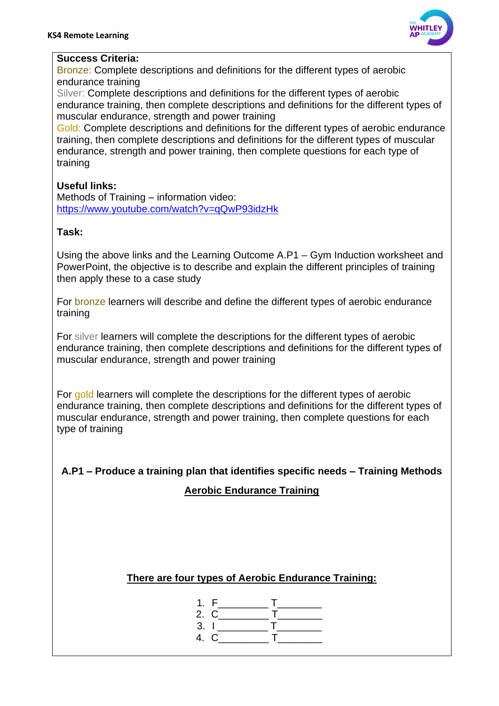

#### **Success Criteria:**

Bronze: Complete descriptions and definitions for the different types of aerobic endurance training

Silver: Complete descriptions and definitions for the different types of aerobic endurance training, then complete descriptions and definitions for the different types of muscular endurance, strength and power training

Gold: Complete descriptions and definitions for the different types of aerobic endurance training, then complete descriptions and definitions for the different types of muscular endurance, strength and power training, then complete questions for each type of training

#### **Useful links:**

Methods of Training – information video: <https://www.youtube.com/watch?v=qQwP93idzHk>

#### **Task:**

Using the above links and the Learning Outcome A.P1 – Gym Induction worksheet and PowerPoint, the objective is to describe and explain the different principles of training then apply these to a case study

For bronze learners will describe and define the different types of aerobic endurance training

For silver learners will complete the descriptions for the different types of aerobic endurance training, then complete descriptions and definitions for the different types of muscular endurance, strength and power training

For gold learners will complete the descriptions for the different types of aerobic endurance training, then complete descriptions and definitions for the different types of muscular endurance, strength and power training, then complete questions for each type of training

**A.P1 – Produce a training plan that identifies specific needs – Training Methods**

## **Aerobic Endurance Training**

## **There are four types of Aerobic Endurance Training:**

- 1.  $F_$   $T_$
- 2.  $C_{\_}$   $T_{\_}$  $3. 1$   $\overline{I}$   $\overline{I}$
- 4. C T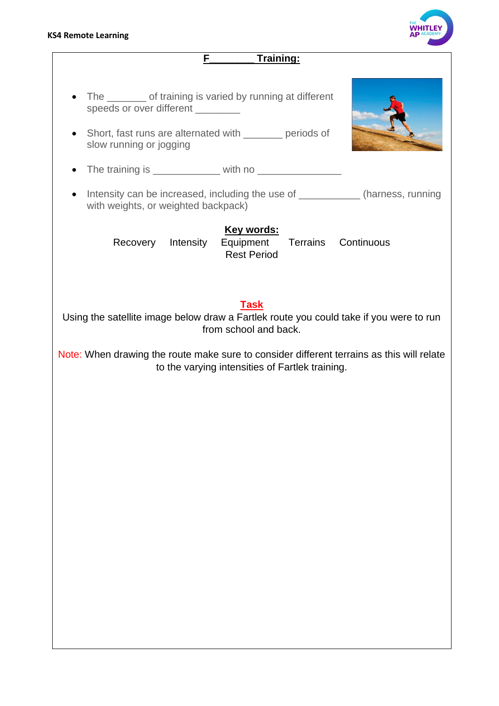#### **KS4 Remote Learning**



**F\_\_\_\_\_\_\_\_ Training:** • The of training is varied by running at different speeds or over different • Short, fast runs are alternated with periods of slow running or jogging • The training is with no • Intensity can be increased, including the use of \_\_\_\_\_\_\_\_\_\_\_\_\_(harness, running with weights, or weighted backpack) **Key words:** Recovery Intensity Equipment Terrains Continuous Rest Period **Task**  Using the satellite image below draw a Fartlek route you could take if you were to run from school and back. Note: When drawing the route make sure to consider different terrains as this will relate to the varying intensities of Fartlek training.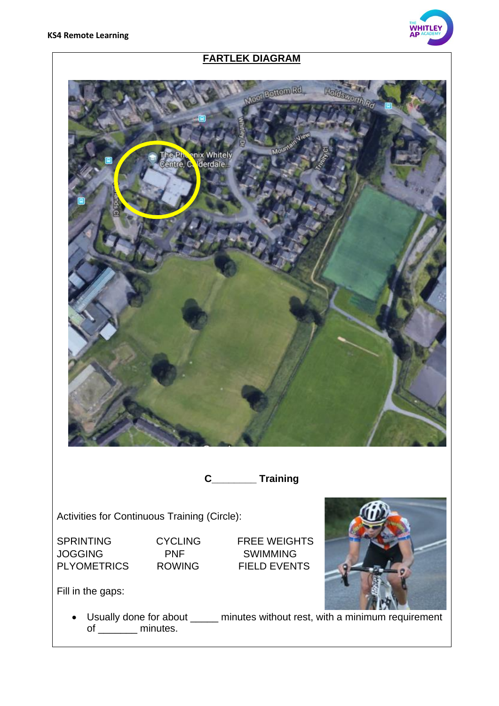

# **FARTLEK DIAGRAM**



Activities for Continuous Training (Circle):

SPRINTING CYCLING FREE WEIGHTS JOGGING PNF SWIMMING PLYOMETRICS ROWING FIELD EVENTS



Fill in the gaps:

• Usually done for about \_\_\_\_\_ minutes without rest, with a minimum requirement of \_\_\_\_\_\_\_\_ minutes.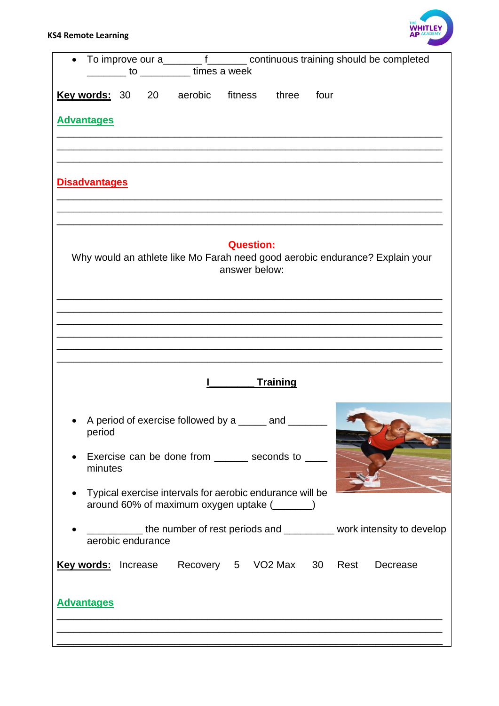

| $\bullet$                                               | _______ to _________ times a week                                                                         |                                   |                 |      | To improve our a_________ f________ continuous training should be completed  |
|---------------------------------------------------------|-----------------------------------------------------------------------------------------------------------|-----------------------------------|-----------------|------|------------------------------------------------------------------------------|
| <b>Key words: 30 20</b>                                 | aerobic                                                                                                   | fitness                           | three           | four |                                                                              |
| <b>Advantages</b>                                       |                                                                                                           |                                   |                 |      |                                                                              |
| <b>Disadvantages</b>                                    |                                                                                                           |                                   |                 |      |                                                                              |
|                                                         |                                                                                                           | <b>Question:</b><br>answer below: |                 |      | Why would an athlete like Mo Farah need good aerobic endurance? Explain your |
|                                                         |                                                                                                           |                                   | <b>Training</b> |      |                                                                              |
| period                                                  | A period of exercise followed by a _____ and<br>Exercise can be done from ______ seconds to ____          |                                   |                 |      |                                                                              |
| minutes                                                 | Typical exercise intervals for aerobic endurance will be<br>around 60% of maximum oxygen uptake (_______) |                                   |                 |      |                                                                              |
| aerobic endurance                                       |                                                                                                           |                                   |                 |      | the number of rest periods and _________ work intensity to develop           |
| Key words: Increase Recovery 5 VO2 Max 30 Rest Decrease |                                                                                                           |                                   |                 |      |                                                                              |
| <b>Advantages</b>                                       |                                                                                                           |                                   |                 |      |                                                                              |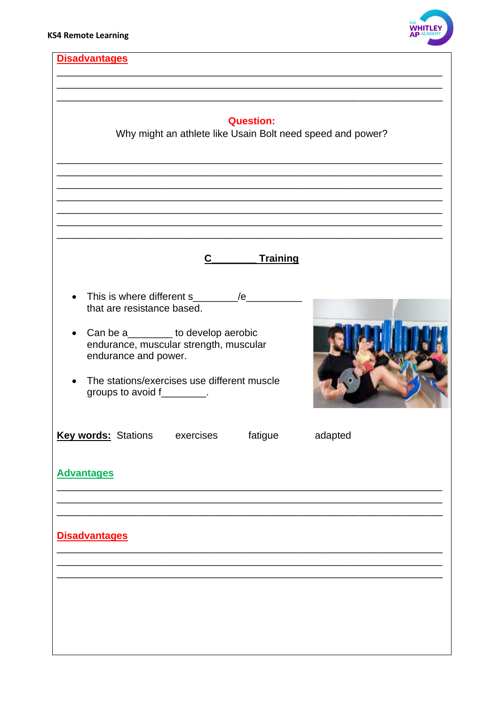

| <b>Disadvantages</b>                                                                                                                                                                                                          |         |
|-------------------------------------------------------------------------------------------------------------------------------------------------------------------------------------------------------------------------------|---------|
| <b>Question:</b><br>Why might an athlete like Usain Bolt need speed and power?                                                                                                                                                |         |
|                                                                                                                                                                                                                               |         |
| C_________Training                                                                                                                                                                                                            |         |
| that are resistance based.<br>Can be a________ to develop aerobic<br>$\bullet$<br>endurance, muscular strength, muscular<br>endurance and power.<br>The stations/exercises use different muscle<br>groups to avoid f________. |         |
| <b>Key words: Stations</b><br>fatigue<br>exercises<br><b>Advantages</b>                                                                                                                                                       | adapted |
| <b>Disadvantages</b>                                                                                                                                                                                                          |         |
|                                                                                                                                                                                                                               |         |
|                                                                                                                                                                                                                               |         |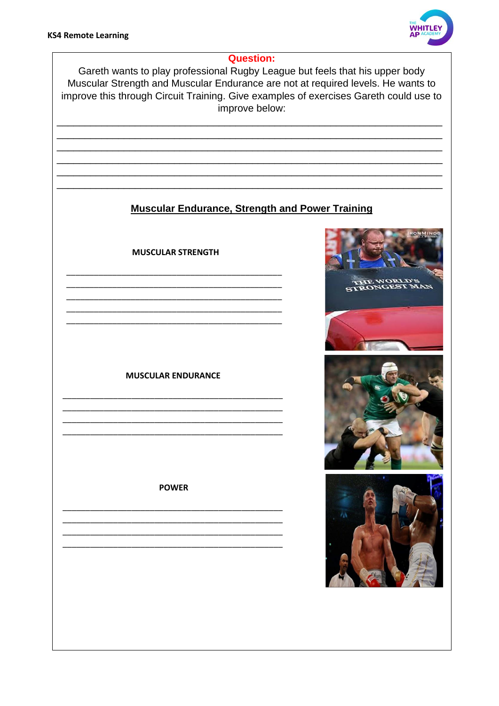

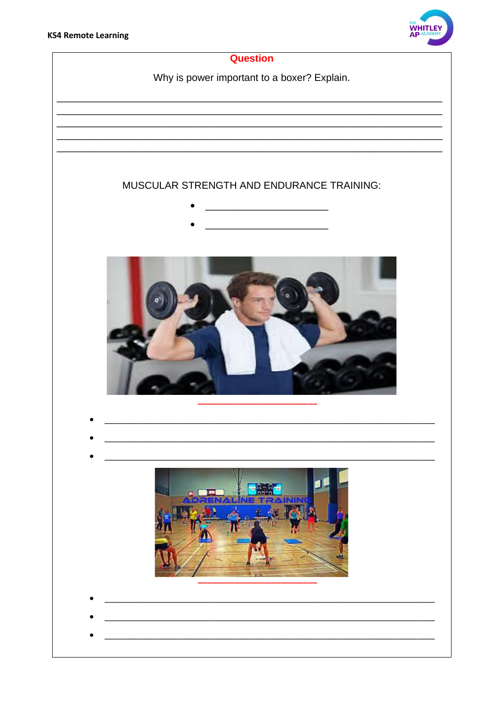

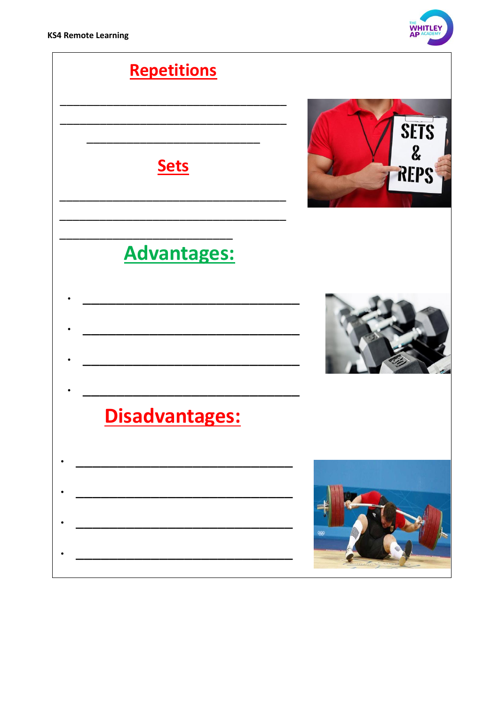

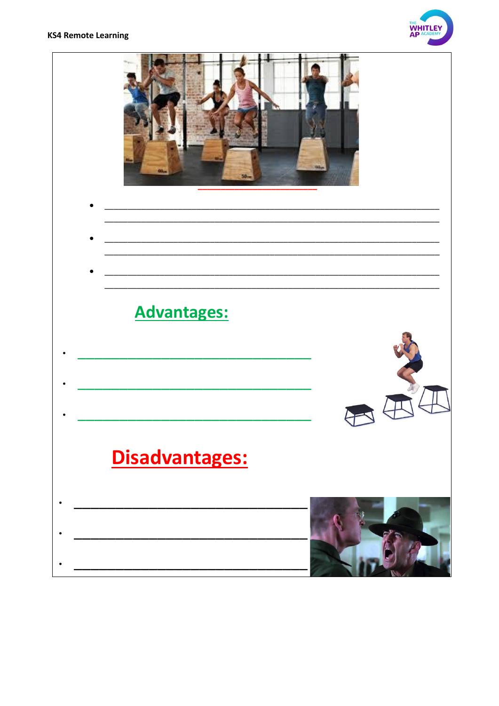#### **KS4 Remote Learning**



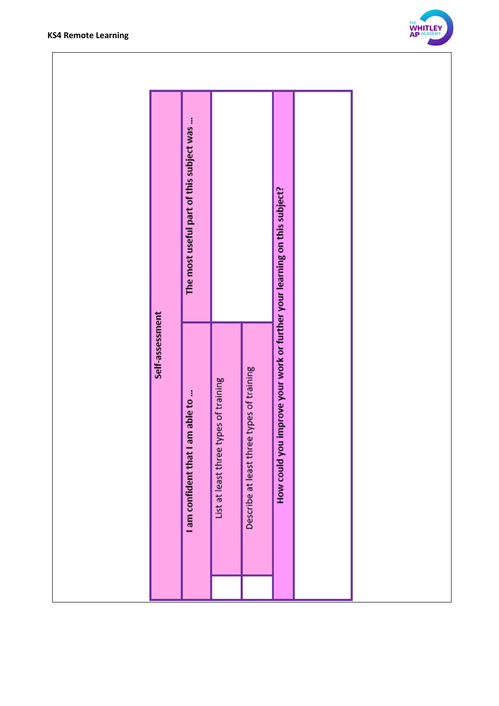



|                 | The most useful part of this subject was |                                       |                                           | you improve your work or further your learning on this subject? |  |  |
|-----------------|------------------------------------------|---------------------------------------|-------------------------------------------|-----------------------------------------------------------------|--|--|
| Self-assessment | I am confident that I am able to         | List at least three types of training | Describe at least three types of training | How could                                                       |  |  |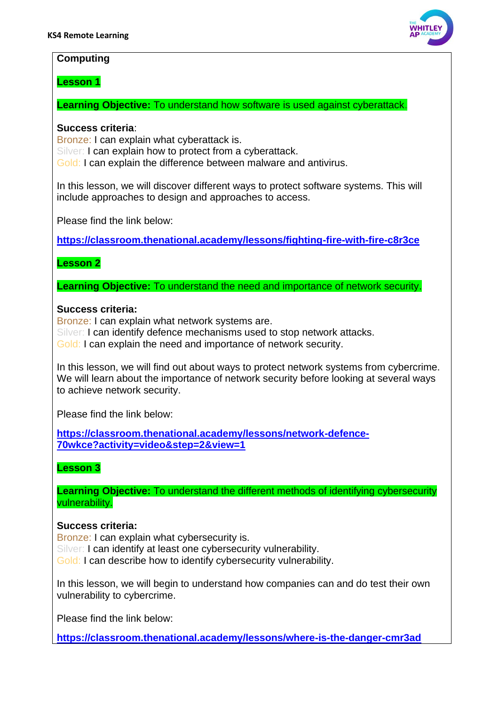

#### **Computing**

**Lesson 1**

**Learning Objective:** To understand how software is used against cyberattack.

#### **Success criteria**:

Bronze: I can explain what cyberattack is. Silver: I can explain how to protect from a cyberattack. Gold: I can explain the difference between malware and antivirus.

In this lesson, we will discover different ways to protect software systems. This will include approaches to design and approaches to access.

Please find the link below:

**<https://classroom.thenational.academy/lessons/fighting-fire-with-fire-c8r3ce>**

#### **Lesson 2**

**Learning Objective:** To understand the need and importance of network security.

#### **Success criteria:**

Bronze: I can explain what network systems are. Silver: I can identify defence mechanisms used to stop network attacks. Gold: I can explain the need and importance of network security.

In this lesson, we will find out about ways to protect network systems from cybercrime. We will learn about the importance of network security before looking at several ways to achieve network security.

Please find the link below:

**[https://classroom.thenational.academy/lessons/network-defence-](https://classroom.thenational.academy/lessons/network-defence-70wkce?activity=video&step=2&view=1)[70wkce?activity=video&step=2&view=1](https://classroom.thenational.academy/lessons/network-defence-70wkce?activity=video&step=2&view=1)**

## **Lesson 3**

**Learning Objective:** To understand the different methods of identifying cybersecurity vulnerability.

#### **Success criteria:**

Bronze: I can explain what cybersecurity is. Silver: I can identify at least one cybersecurity vulnerability. Gold: I can describe how to identify cybersecurity vulnerability.

In this lesson, we will begin to understand how companies can and do test their own vulnerability to cybercrime.

Please find the link below:

**<https://classroom.thenational.academy/lessons/where-is-the-danger-cmr3ad>**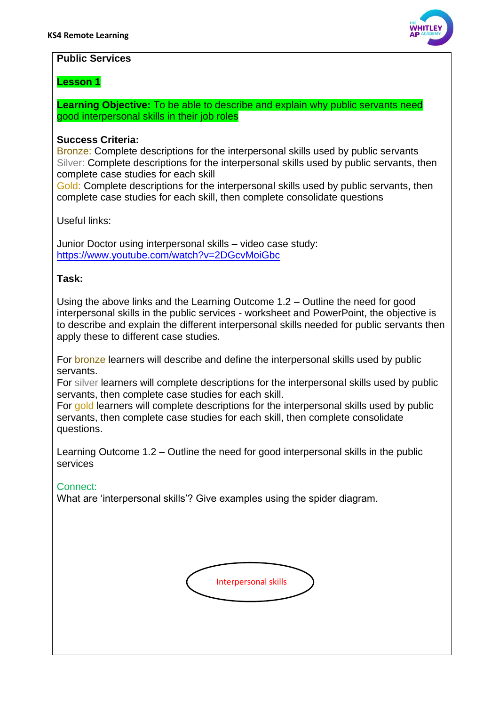

#### **Public Services**

#### **Lesson 1**

**Learning Objective:** To be able to describe and explain why public servants need good interpersonal skills in their job roles

#### **Success Criteria:**

Bronze: Complete descriptions for the interpersonal skills used by public servants Silver: Complete descriptions for the interpersonal skills used by public servants, then complete case studies for each skill

Gold: Complete descriptions for the interpersonal skills used by public servants, then complete case studies for each skill, then complete consolidate questions

Useful links:

Junior Doctor using interpersonal skills – video case study: <https://www.youtube.com/watch?v=2DGcvMoiGbc>

#### **Task:**

Using the above links and the Learning Outcome 1.2 – Outline the need for good interpersonal skills in the public services - worksheet and PowerPoint, the objective is to describe and explain the different interpersonal skills needed for public servants then apply these to different case studies.

For **bronze** learners will describe and define the interpersonal skills used by public servants.

For silver learners will complete descriptions for the interpersonal skills used by public servants, then complete case studies for each skill.

For gold learners will complete descriptions for the interpersonal skills used by public servants, then complete case studies for each skill, then complete consolidate questions.

Learning Outcome 1.2 – Outline the need for good interpersonal skills in the public services

#### Connect:

What are 'interpersonal skills'? Give examples using the spider diagram.

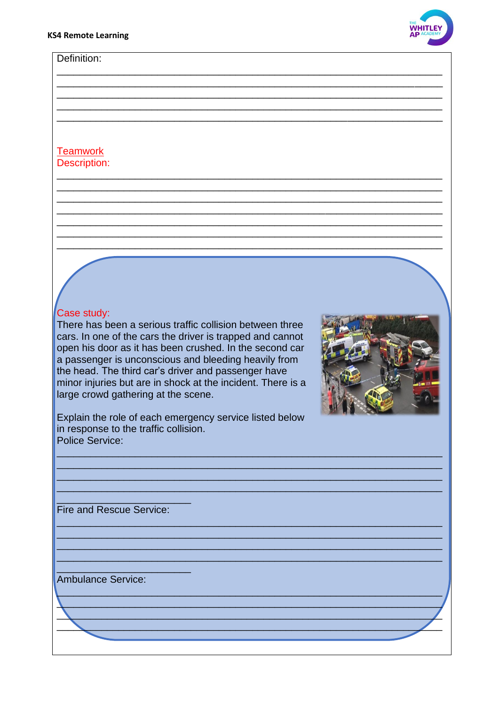Definition:



## **Teamwork** Description:

# Case study:

There has been a serious traffic collision between three cars. In one of the cars the driver is trapped and cannot open his door as it has been crushed. In the second car a passenger is unconscious and bleeding heavily from the head. The third car's driver and passenger have minor injuries but are in shock at the incident. There is a large crowd gathering at the scene.



Explain the role of each emergency service listed below in response to the traffic collision. Police Service:

Fire and Rescue Service:

**Ambulance Service:**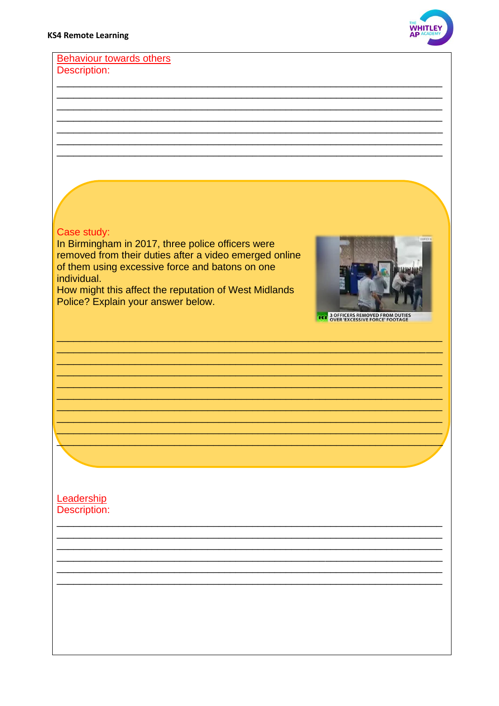

#### **Behaviour towards others** Description:

## Case study:

In Birmingham in 2017, three police officers were removed from their duties after a video emerged online of them using excessive force and batons on one individual.

How might this affect the reputation of West Midlands Police? Explain your answer below.



**RT 3 OFFICERS REMOVED FROM DUTIE** 

#### Leadership **Description:**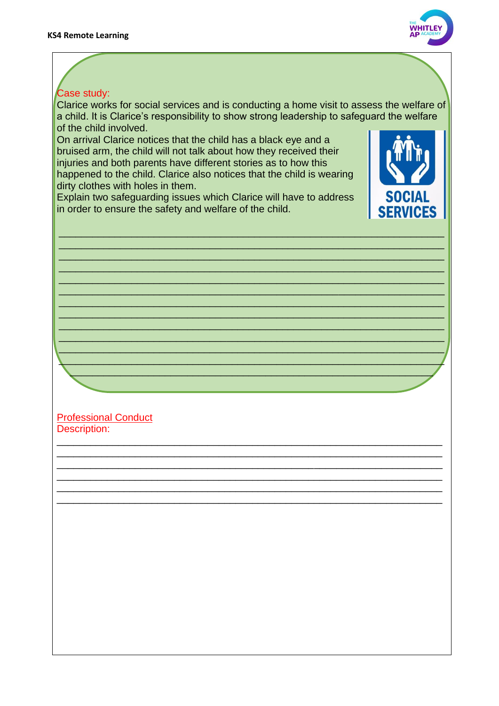

## Case study:

Clarice works for social services and is conducting a home visit to assess the welfare of a child. It is Clarice's responsibility to show strong leadership to safeguard the welfare of the child involved.

\_\_\_\_\_\_\_\_\_\_\_\_\_\_\_\_\_\_\_\_\_\_\_\_\_\_\_\_\_\_\_\_\_\_\_\_\_\_\_\_\_\_\_\_\_\_\_\_\_\_\_\_\_\_\_\_\_\_\_\_\_\_\_\_\_\_\_\_\_ \_\_\_\_\_\_\_\_\_\_\_\_\_\_\_\_\_\_\_\_\_\_\_\_\_\_\_\_\_\_\_\_\_\_\_\_\_\_\_\_\_\_\_\_\_\_\_\_\_\_\_\_\_\_\_\_\_\_\_\_\_\_\_\_\_\_\_\_\_ \_\_\_\_\_\_\_\_\_\_\_\_\_\_\_\_\_\_\_\_\_\_\_\_\_\_\_\_\_\_\_\_\_\_\_\_\_\_\_\_\_\_\_\_\_\_\_\_\_\_\_\_\_\_\_\_\_\_\_\_\_\_\_\_\_\_\_\_\_ \_\_\_\_\_\_\_\_\_\_\_\_\_\_\_\_\_\_\_\_\_\_\_\_\_\_\_\_\_\_\_\_\_\_\_\_\_\_\_\_\_\_\_\_\_\_\_\_\_\_\_\_\_\_\_\_\_\_\_\_\_\_\_\_\_\_\_\_\_ \_\_\_\_\_\_\_\_\_\_\_\_\_\_\_\_\_\_\_\_\_\_\_\_\_\_\_\_\_\_\_\_\_\_\_\_\_\_\_\_\_\_\_\_\_\_\_\_\_\_\_\_\_\_\_\_\_\_\_\_\_\_\_\_\_\_\_\_\_ \_\_\_\_\_\_\_\_\_\_\_\_\_\_\_\_\_\_\_\_\_\_\_\_\_\_\_\_\_\_\_\_\_\_\_\_\_\_\_\_\_\_\_\_\_\_\_\_\_\_\_\_\_\_\_\_\_\_\_\_\_\_\_\_\_\_\_\_\_ \_\_\_\_\_\_\_\_\_\_\_\_\_\_\_\_\_\_\_\_\_\_\_\_\_\_\_\_\_\_\_\_\_\_\_\_\_\_\_\_\_\_\_\_\_\_\_\_\_\_\_\_\_\_\_\_\_\_\_\_\_\_\_\_\_\_\_\_\_ \_\_\_\_\_\_\_\_\_\_\_\_\_\_\_\_\_\_\_\_\_\_\_\_\_\_\_\_\_\_\_\_\_\_\_\_\_\_\_\_\_\_\_\_\_\_\_\_\_\_\_\_\_\_\_\_\_\_\_\_\_\_\_\_\_\_\_\_\_ \_\_\_\_\_\_\_\_\_\_\_\_\_\_\_\_\_\_\_\_\_\_\_\_\_\_\_\_\_\_\_\_\_\_\_\_\_\_\_\_\_\_\_\_\_\_\_\_\_\_\_\_\_\_\_\_\_\_\_\_\_\_\_\_\_\_\_\_\_ \_\_\_\_\_\_\_\_\_\_\_\_\_\_\_\_\_\_\_\_\_\_\_\_\_\_\_\_\_\_\_\_\_\_\_\_\_\_\_\_\_\_\_\_\_\_\_\_\_\_\_\_\_\_\_\_\_\_\_\_\_\_\_\_\_\_\_\_\_ \_\_\_\_\_\_\_\_\_\_\_\_\_\_\_\_\_\_\_\_\_\_\_\_\_\_\_\_\_\_\_\_\_\_\_\_\_\_\_\_\_\_\_\_\_\_\_\_\_\_\_\_\_\_\_\_\_\_\_\_\_\_\_\_\_\_\_\_\_  $\Box$  . The contract of the contract of the contract of the contract of the contract of the contract of the contract of the contract of the contract of the contract of the contract of the contract of the contract of the co \_\_\_\_\_\_\_\_\_\_\_\_\_\_\_\_\_\_\_\_\_\_\_\_\_\_\_\_\_\_\_\_\_\_\_\_\_\_\_\_\_\_\_\_\_\_\_\_\_\_\_\_\_\_\_\_\_\_\_\_\_\_\_\_\_

\_\_\_\_\_\_\_\_\_\_\_\_\_\_\_\_\_\_\_\_\_\_\_\_\_\_\_\_\_\_\_\_\_\_\_\_\_\_\_\_\_\_\_\_\_\_\_\_\_\_\_\_\_\_\_\_\_\_\_\_\_\_\_\_\_\_\_\_\_ \_\_\_\_\_\_\_\_\_\_\_\_\_\_\_\_\_\_\_\_\_\_\_\_\_\_\_\_\_\_\_\_\_\_\_\_\_\_\_\_\_\_\_\_\_\_\_\_\_\_\_\_\_\_\_\_\_\_\_\_\_\_\_\_\_\_\_\_\_ \_\_\_\_\_\_\_\_\_\_\_\_\_\_\_\_\_\_\_\_\_\_\_\_\_\_\_\_\_\_\_\_\_\_\_\_\_\_\_\_\_\_\_\_\_\_\_\_\_\_\_\_\_\_\_\_\_\_\_\_\_\_\_\_\_\_\_\_\_ \_\_\_\_\_\_\_\_\_\_\_\_\_\_\_\_\_\_\_\_\_\_\_\_\_\_\_\_\_\_\_\_\_\_\_\_\_\_\_\_\_\_\_\_\_\_\_\_\_\_\_\_\_\_\_\_\_\_\_\_\_\_\_\_\_\_\_\_\_ \_\_\_\_\_\_\_\_\_\_\_\_\_\_\_\_\_\_\_\_\_\_\_\_\_\_\_\_\_\_\_\_\_\_\_\_\_\_\_\_\_\_\_\_\_\_\_\_\_\_\_\_\_\_\_\_\_\_\_\_\_\_\_\_\_\_\_\_\_ \_\_\_\_\_\_\_\_\_\_\_\_\_\_\_\_\_\_\_\_\_\_\_\_\_\_\_\_\_\_\_\_\_\_\_\_\_\_\_\_\_\_\_\_\_\_\_\_\_\_\_\_\_\_\_\_\_\_\_\_\_\_\_\_\_\_\_\_\_

On arrival Clarice notices that the child has a black eye and a bruised arm, the child will not talk about how they received their injuries and both parents have different stories as to how this happened to the child. Clarice also notices that the child is wearing dirty clothes with holes in them.

Explain two safeguarding issues which Clarice will have to address in order to ensure the safety and welfare of the child.



#### Professional Conduct Description: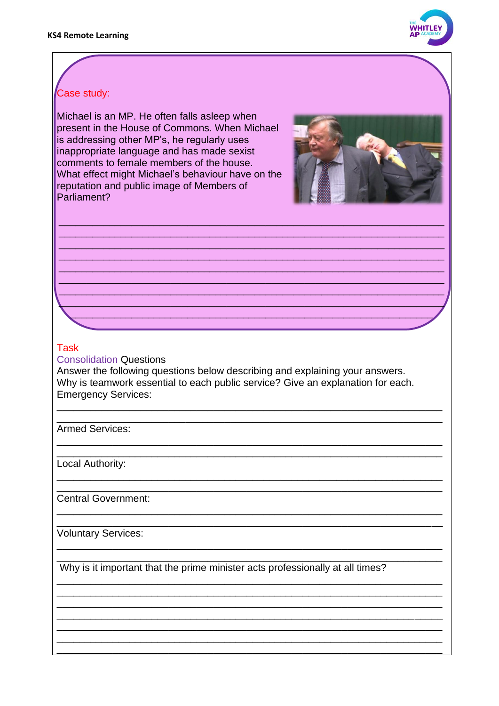

## Case study:

Michael is an MP. He often falls asleep when present in the House of Commons. When Michael is addressing other MP's, he regularly uses inappropriate language and has made sexist comments to female members of the house. What effect might Michael's behaviour have on the reputation and public image of Members of Parliament?



#### **Task**

**Consolidation Questions** 

Answer the following questions below describing and explaining your answers. Why is teamwork essential to each public service? Give an explanation for each. **Emergency Services:** 

Armed Services:

Local Authority:

Central Government:

**Voluntary Services:** 

Why is it important that the prime minister acts professionally at all times?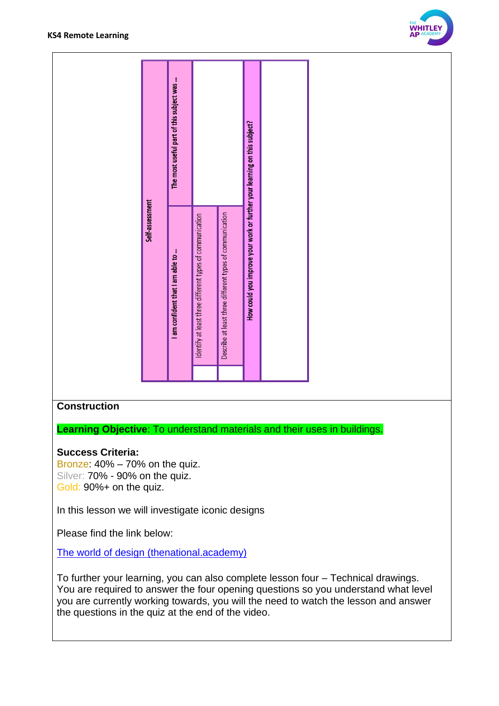

|                 | The most useful part of this subject was |                                                          |                                                          |                                                                           |  |
|-----------------|------------------------------------------|----------------------------------------------------------|----------------------------------------------------------|---------------------------------------------------------------------------|--|
| Self-assessment | I am confident that I am able to         | Identify at least three different types of communication | Describe at least three different types of communication | How could you improve your work or further your learning on this subject? |  |

#### **Construction**

**Learning Objective**: To understand materials and their uses in buildings.

#### **Success Criteria:**

Bronze: 40% – 70% on the quiz. Silver: 70% - 90% on the quiz. Gold: 90%+ on the quiz.

In this lesson we will investigate iconic designs

Please find the link below:

[The world of design \(thenational.academy\)](https://classroom.thenational.academy/lessons/the-world-of-design-60r34t)

To further your learning, you can also complete lesson four – Technical drawings. You are required to answer the four opening questions so you understand what level you are currently working towards, you will the need to watch the lesson and answer the questions in the quiz at the end of the video.